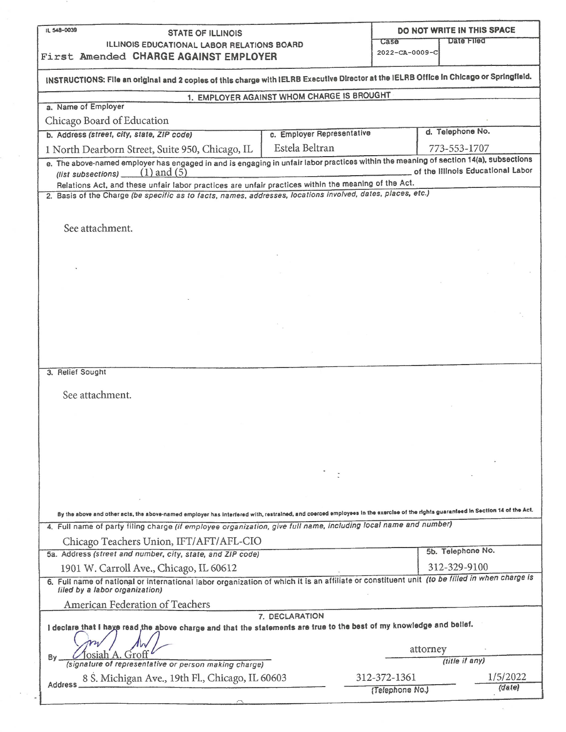| IL 548-0039<br><b>STATE OF ILLINOIS</b>                                                                                                                                         |                                            |                 | DO NOT WRITE IN THIS SPACE        |          |  |
|---------------------------------------------------------------------------------------------------------------------------------------------------------------------------------|--------------------------------------------|-----------------|-----------------------------------|----------|--|
| Case<br>ILLINOIS EDUCATIONAL LABOR RELATIONS BOARD<br>First Amended CHARGE AGAINST EMPLOYER                                                                                     |                                            |                 | Date Filed                        |          |  |
|                                                                                                                                                                                 |                                            | 2022-CA-0009-C  |                                   |          |  |
| INSTRUCTIONS: File an original and 2 copies of this charge with IELRB Executive Director at the IELRB Office in Chicago or Springfield.                                         |                                            |                 |                                   |          |  |
|                                                                                                                                                                                 |                                            |                 |                                   |          |  |
| a. Name of Employer                                                                                                                                                             | 1. EMPLOYER AGAINST WHOM CHARGE IS BROUGHT |                 |                                   |          |  |
| Chicago Board of Education                                                                                                                                                      |                                            |                 |                                   |          |  |
| b. Address (street, city, state, ZIP code)                                                                                                                                      | c. Employer Representative                 |                 | d. Telephone No.                  |          |  |
| 1 North Dearborn Street, Suite 950, Chicago, IL                                                                                                                                 | Estela Beltran                             |                 | 773-553-1707                      |          |  |
| e. The above-named employer has engaged in and is engaging in unfair labor practices within the meaning of section 14(a), subsections<br>(list subsections) $(1)$ and (5)       |                                            |                 | of the Illinois Educational Labor |          |  |
| Relations Act, and these unfair labor practices are unfair practices within the meaning of the Act.                                                                             |                                            |                 |                                   |          |  |
| 2. Basis of the Charge (be specific as to facts, names, addresses, locations involved, dates, places, etc.)                                                                     |                                            |                 |                                   |          |  |
|                                                                                                                                                                                 |                                            |                 |                                   |          |  |
| See attachment.                                                                                                                                                                 |                                            |                 |                                   |          |  |
|                                                                                                                                                                                 |                                            |                 |                                   |          |  |
|                                                                                                                                                                                 |                                            |                 |                                   |          |  |
|                                                                                                                                                                                 |                                            |                 |                                   |          |  |
|                                                                                                                                                                                 |                                            |                 |                                   |          |  |
|                                                                                                                                                                                 |                                            |                 |                                   |          |  |
|                                                                                                                                                                                 |                                            |                 |                                   |          |  |
|                                                                                                                                                                                 |                                            |                 |                                   |          |  |
|                                                                                                                                                                                 |                                            |                 |                                   |          |  |
|                                                                                                                                                                                 |                                            |                 |                                   |          |  |
| 3. Relief Sought                                                                                                                                                                |                                            |                 |                                   |          |  |
| See attachment.                                                                                                                                                                 |                                            |                 |                                   |          |  |
|                                                                                                                                                                                 |                                            |                 |                                   |          |  |
|                                                                                                                                                                                 |                                            |                 |                                   |          |  |
|                                                                                                                                                                                 |                                            |                 |                                   |          |  |
|                                                                                                                                                                                 |                                            |                 |                                   |          |  |
|                                                                                                                                                                                 |                                            |                 |                                   |          |  |
|                                                                                                                                                                                 |                                            |                 |                                   |          |  |
|                                                                                                                                                                                 |                                            |                 |                                   |          |  |
| By the above and other acts, the above-named employer has interfered with, restrained, and coerced employees in the exercise of the rights guaranteed in Section 14 of the Act. |                                            |                 |                                   |          |  |
| 4. Full name of party filing charge (if employee organization, give full name, including local name and number)                                                                 |                                            |                 |                                   |          |  |
| Chicago Teachers Union, IFT/AFT/AFL-CIO                                                                                                                                         |                                            |                 |                                   |          |  |
| 5a. Address (street and number, city, state, and ZIP code)                                                                                                                      |                                            |                 | 5b. Telephone No.                 |          |  |
| 1901 W. Carroll Ave., Chicago, IL 60612                                                                                                                                         |                                            |                 | 312-329-9100                      |          |  |
| 6. Full name of national or international labor organization of which it is an affiliate or constituent unit (to be filled in when charge is<br>filed by a fabor organization)  |                                            |                 |                                   |          |  |
| American Federation of Teachers                                                                                                                                                 |                                            |                 |                                   |          |  |
|                                                                                                                                                                                 | 7. DECLARATION                             |                 |                                   |          |  |
| I declare that I have read, the above charge and that the statements are true to the best of my knowledge and belief.                                                           |                                            |                 |                                   |          |  |
|                                                                                                                                                                                 |                                            |                 | attorney                          |          |  |
| By<br>representative or person making charge)                                                                                                                                   |                                            |                 | (title if any)                    |          |  |
| 8 S. Michigan Ave., 19th Fl., Chicago, IL 60603                                                                                                                                 |                                            | 312-372-1361    |                                   | 1/5/2022 |  |
| Address                                                                                                                                                                         |                                            | (Telephone No.) |                                   | (date)   |  |
|                                                                                                                                                                                 |                                            |                 |                                   |          |  |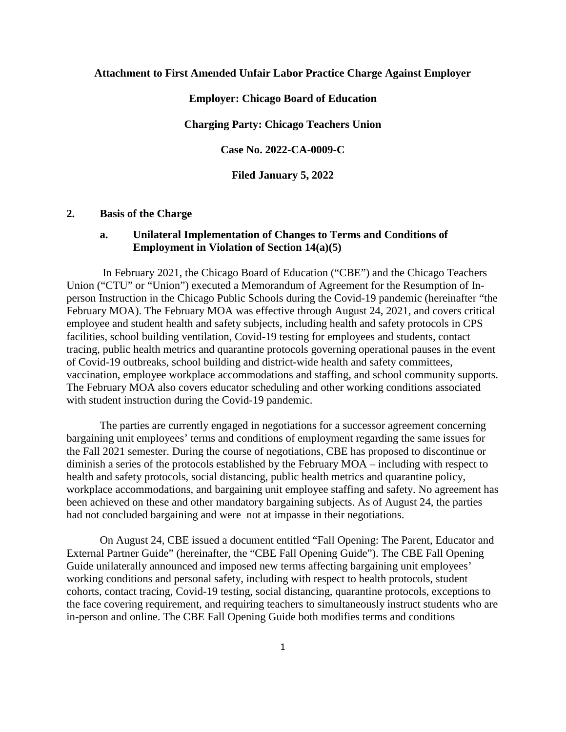### **Attachment to First Amended Unfair Labor Practice Charge Against Employer**

**Employer: Chicago Board of Education**

**Charging Party: Chicago Teachers Union**

**Case No. 2022-CA-0009-C**

**Filed January 5, 2022**

### **2. Basis of the Charge**

## **a. Unilateral Implementation of Changes to Terms and Conditions of Employment in Violation of Section 14(a)(5)**

In February 2021, the Chicago Board of Education ("CBE") and the Chicago Teachers Union ("CTU" or "Union") executed a Memorandum of Agreement for the Resumption of Inperson Instruction in the Chicago Public Schools during the Covid-19 pandemic (hereinafter "the February MOA). The February MOA was effective through August 24, 2021, and covers critical employee and student health and safety subjects, including health and safety protocols in CPS facilities, school building ventilation, Covid-19 testing for employees and students, contact tracing, public health metrics and quarantine protocols governing operational pauses in the event of Covid-19 outbreaks, school building and district-wide health and safety committees, vaccination, employee workplace accommodations and staffing, and school community supports. The February MOA also covers educator scheduling and other working conditions associated with student instruction during the Covid-19 pandemic.

The parties are currently engaged in negotiations for a successor agreement concerning bargaining unit employees' terms and conditions of employment regarding the same issues for the Fall 2021 semester. During the course of negotiations, CBE has proposed to discontinue or diminish a series of the protocols established by the February MOA – including with respect to health and safety protocols, social distancing, public health metrics and quarantine policy, workplace accommodations, and bargaining unit employee staffing and safety. No agreement has been achieved on these and other mandatory bargaining subjects. As of August 24, the parties had not concluded bargaining and were not at impasse in their negotiations.

On August 24, CBE issued a document entitled "Fall Opening: The Parent, Educator and External Partner Guide" (hereinafter, the "CBE Fall Opening Guide"). The CBE Fall Opening Guide unilaterally announced and imposed new terms affecting bargaining unit employees' working conditions and personal safety, including with respect to health protocols, student cohorts, contact tracing, Covid-19 testing, social distancing, quarantine protocols, exceptions to the face covering requirement, and requiring teachers to simultaneously instruct students who are in-person and online. The CBE Fall Opening Guide both modifies terms and conditions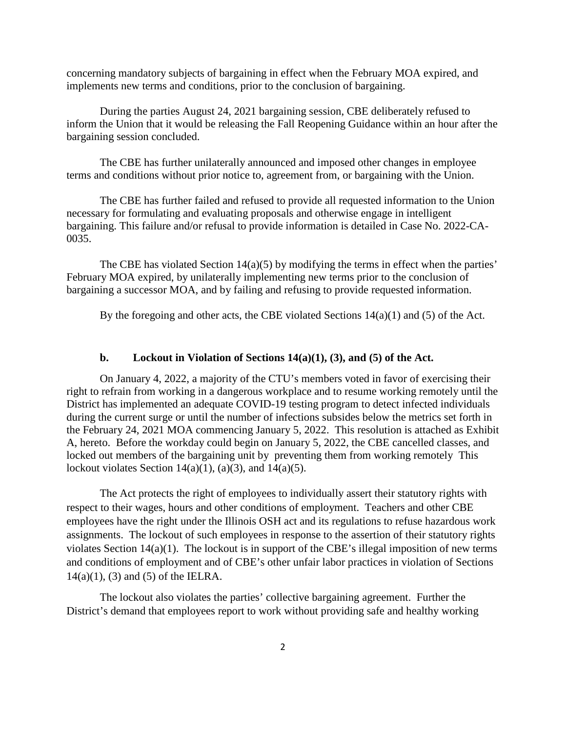concerning mandatory subjects of bargaining in effect when the February MOA expired, and implements new terms and conditions, prior to the conclusion of bargaining.

During the parties August 24, 2021 bargaining session, CBE deliberately refused to inform the Union that it would be releasing the Fall Reopening Guidance within an hour after the bargaining session concluded.

The CBE has further unilaterally announced and imposed other changes in employee terms and conditions without prior notice to, agreement from, or bargaining with the Union.

The CBE has further failed and refused to provide all requested information to the Union necessary for formulating and evaluating proposals and otherwise engage in intelligent bargaining. This failure and/or refusal to provide information is detailed in Case No. 2022-CA-0035.

The CBE has violated Section 14(a)(5) by modifying the terms in effect when the parties' February MOA expired, by unilaterally implementing new terms prior to the conclusion of bargaining a successor MOA, and by failing and refusing to provide requested information.

By the foregoing and other acts, the CBE violated Sections 14(a)(1) and (5) of the Act.

### **b. Lockout in Violation of Sections 14(a)(1), (3), and (5) of the Act.**

On January 4, 2022, a majority of the CTU's members voted in favor of exercising their right to refrain from working in a dangerous workplace and to resume working remotely until the District has implemented an adequate COVID-19 testing program to detect infected individuals during the current surge or until the number of infections subsides below the metrics set forth in the February 24, 2021 MOA commencing January 5, 2022. This resolution is attached as Exhibit A, hereto. Before the workday could begin on January 5, 2022, the CBE cancelled classes, and locked out members of the bargaining unit by preventing them from working remotely This lockout violates Section  $14(a)(1)$ ,  $(a)(3)$ , and  $14(a)(5)$ .

The Act protects the right of employees to individually assert their statutory rights with respect to their wages, hours and other conditions of employment. Teachers and other CBE employees have the right under the Illinois OSH act and its regulations to refuse hazardous work assignments. The lockout of such employees in response to the assertion of their statutory rights violates Section 14(a)(1). The lockout is in support of the CBE's illegal imposition of new terms and conditions of employment and of CBE's other unfair labor practices in violation of Sections  $14(a)(1)$ , (3) and (5) of the IELRA.

The lockout also violates the parties' collective bargaining agreement. Further the District's demand that employees report to work without providing safe and healthy working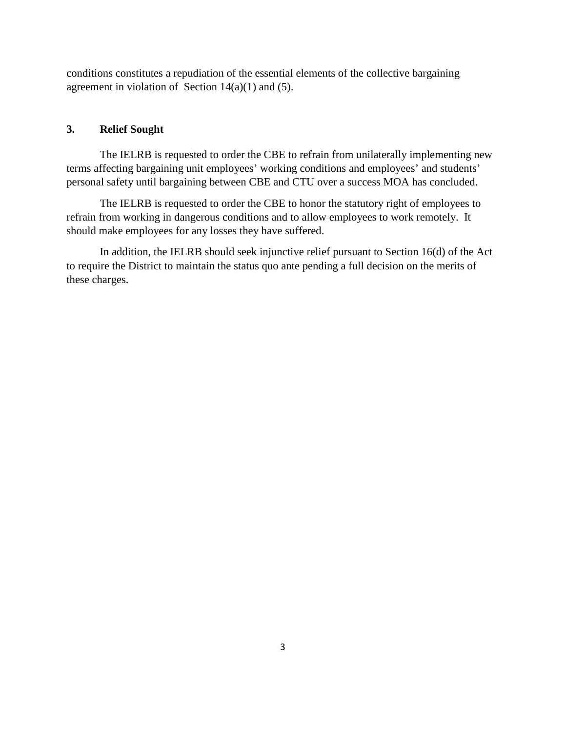conditions constitutes a repudiation of the essential elements of the collective bargaining agreement in violation of Section  $14(a)(1)$  and  $(5)$ .

## **3. Relief Sought**

The IELRB is requested to order the CBE to refrain from unilaterally implementing new terms affecting bargaining unit employees' working conditions and employees' and students' personal safety until bargaining between CBE and CTU over a success MOA has concluded.

The IELRB is requested to order the CBE to honor the statutory right of employees to refrain from working in dangerous conditions and to allow employees to work remotely. It should make employees for any losses they have suffered.

In addition, the IELRB should seek injunctive relief pursuant to Section 16(d) of the Act to require the District to maintain the status quo ante pending a full decision on the merits of these charges.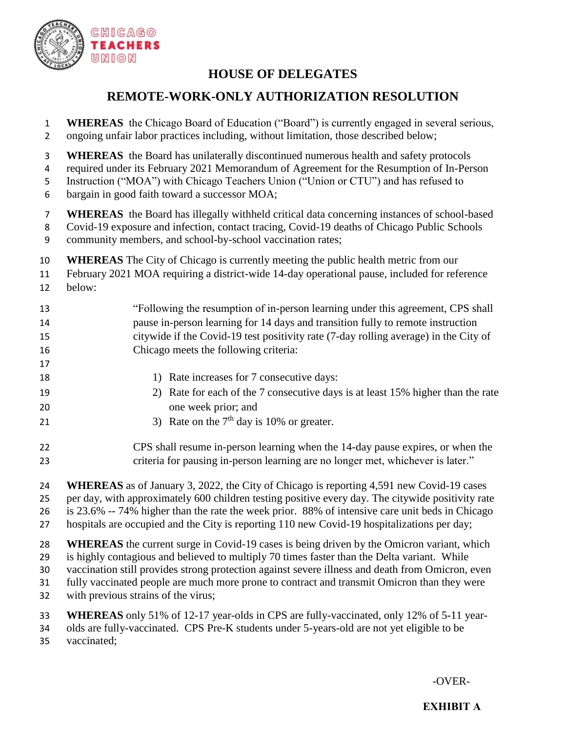

# **HOUSE OF DELEGATES**

# **REMOTE-WORK-ONLY AUTHORIZATION RESOLUTION**

- **WHEREAS** the Chicago Board of Education ("Board") is currently engaged in several serious, ongoing unfair labor practices including, without limitation, those described below;
- **WHEREAS** the Board has unilaterally discontinued numerous health and safety protocols
- required under its February 2021 Memorandum of Agreement for the Resumption of In-Person
- Instruction ("MOA") with Chicago Teachers Union ("Union or CTU") and has refused to
- bargain in good faith toward a successor MOA;
- **WHEREAS** the Board has illegally withheld critical data concerning instances of school-based
- Covid-19 exposure and infection, contact tracing, Covid-19 deaths of Chicago Public Schools
- community members, and school-by-school vaccination rates;
- **WHEREAS** The City of Chicago is currently meeting the public health metric from our
- February 2021 MOA requiring a district-wide 14-day operational pause, included for reference
- below:

| 13 | "Following the resumption of in-person learning under this agreement, CPS shall      |
|----|--------------------------------------------------------------------------------------|
| 14 | pause in-person learning for 14 days and transition fully to remote instruction      |
| 15 | citywide if the Covid-19 test positivity rate (7-day rolling average) in the City of |
| 16 | Chicago meets the following criteria:                                                |

- 1) Rate increases for 7 consecutive days:
- 2) Rate for each of the 7 consecutive days is at least 15% higher than the rate one week prior; and
- 21 3) Rate on the  $7<sup>th</sup>$  day is 10% or greater.
- CPS shall resume in-person learning when the 14-day pause expires, or when the criteria for pausing in-person learning are no longer met, whichever is later."
- **WHEREAS** as of January 3, 2022, the City of Chicago is reporting 4,591 new Covid-19 cases per day, with approximately 600 children testing positive every day. The citywide positivity rate is 23.6% -- 74% higher than the rate the week prior. 88% of intensive care unit beds in Chicago
- hospitals are occupied and the City is reporting 110 new Covid-19 hospitalizations per day;
- 
- **WHEREAS** the current surge in Covid-19 cases is being driven by the Omicron variant, which
- is highly contagious and believed to multiply 70 times faster than the Delta variant. While vaccination still provides strong protection against severe illness and death from Omicron, even
- fully vaccinated people are much more prone to contract and transmit Omicron than they were
- with previous strains of the virus;
- **WHEREAS** only 51% of 12-17 year-olds in CPS are fully-vaccinated, only 12% of 5-11 year-
- olds are fully-vaccinated. CPS Pre-K students under 5-years-old are not yet eligible to be
- vaccinated;

-OVER-

## **EXHIBIT A**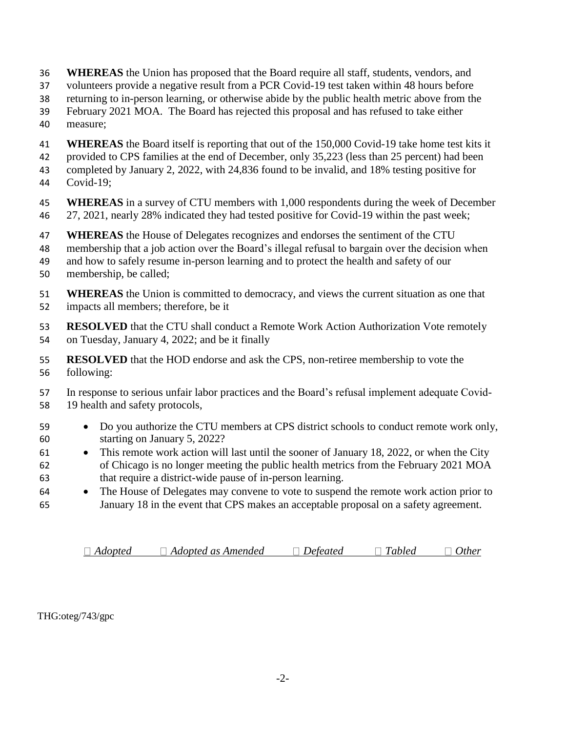- **WHEREAS** the Union has proposed that the Board require all staff, students, vendors, and
- volunteers provide a negative result from a PCR Covid-19 test taken within 48 hours before
- returning to in-person learning, or otherwise abide by the public health metric above from the
- February 2021 MOA. The Board has rejected this proposal and has refused to take either
- measure;
- **WHEREAS** the Board itself is reporting that out of the 150,000 Covid-19 take home test kits it provided to CPS families at the end of December, only 35,223 (less than 25 percent) had been
- completed by January 2, 2022, with 24,836 found to be invalid, and 18% testing positive for
- Covid-19;
- **WHEREAS** in a survey of CTU members with 1,000 respondents during the week of December 27, 2021, nearly 28% indicated they had tested positive for Covid-19 within the past week;
- **WHEREAS** the House of Delegates recognizes and endorses the sentiment of the CTU
- membership that a job action over the Board's illegal refusal to bargain over the decision when
- and how to safely resume in-person learning and to protect the health and safety of our
- membership, be called;
- **WHEREAS** the Union is committed to democracy, and views the current situation as one that impacts all members; therefore, be it
- **RESOLVED** that the CTU shall conduct a Remote Work Action Authorization Vote remotely on Tuesday, January 4, 2022; and be it finally
- **RESOLVED** that the HOD endorse and ask the CPS, non-retiree membership to vote the following:
- In response to serious unfair labor practices and the Board's refusal implement adequate Covid-19 health and safety protocols,
- 59 Do you authorize the CTU members at CPS district schools to conduct remote work only, starting on January 5, 2022?
- 61 This remote work action will last until the sooner of January 18, 2022, or when the City of Chicago is no longer meeting the public health metrics from the February 2021 MOA that require a district-wide pause of in-person learning.
- The House of Delegates may convene to vote to suspend the remote work action prior to January 18 in the event that CPS makes an acceptable proposal on a safety agreement.

| $\Box$ Adopted | $\Box$ Adopted as Amended | Deteated | T11<br>abled | <b>Ither</b> |
|----------------|---------------------------|----------|--------------|--------------|
|                |                           |          |              |              |

THG:oteg/743/gpc